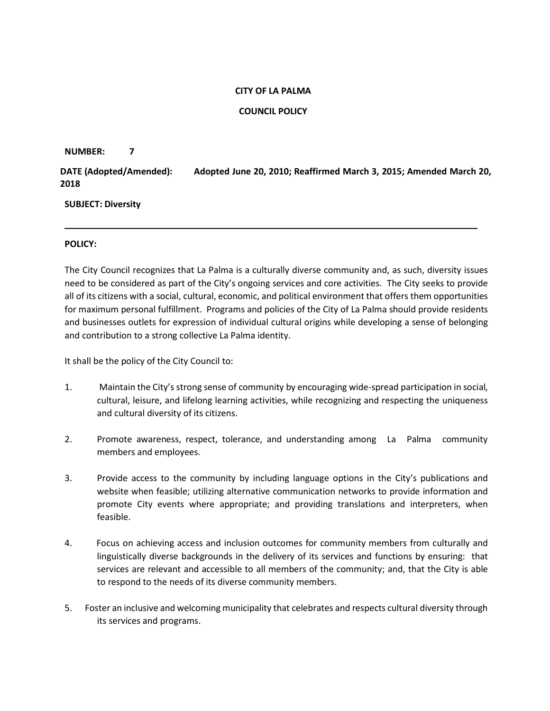### **CITY OF LA PALMA**

## **COUNCIL POLICY**

#### **NUMBER: 7**

**DATE (Adopted/Amended): Adopted June 20, 2010; Reaffirmed March 3, 2015; Amended March 20, 2018**

### **SUBJECT: Diversity**

### **POLICY:**

The City Council recognizes that La Palma is a culturally diverse community and, as such, diversity issues need to be considered as part of the City's ongoing services and core activities. The City seeks to provide all of its citizens with a social, cultural, economic, and political environment that offers them opportunities for maximum personal fulfillment. Programs and policies of the City of La Palma should provide residents and businesses outlets for expression of individual cultural origins while developing a sense of belonging and contribution to a strong collective La Palma identity.

It shall be the policy of the City Council to:

- 1. Maintain the City's strong sense of community by encouraging wide-spread participation in social, cultural, leisure, and lifelong learning activities, while recognizing and respecting the uniqueness and cultural diversity of its citizens.
- 2. Promote awareness, respect, tolerance, and understanding among La Palma community members and employees.
- 3. Provide access to the community by including language options in the City's publications and website when feasible; utilizing alternative communication networks to provide information and promote City events where appropriate; and providing translations and interpreters, when feasible.
- 4. Focus on achieving access and inclusion outcomes for community members from culturally and linguistically diverse backgrounds in the delivery of its services and functions by ensuring: that services are relevant and accessible to all members of the community; and, that the City is able to respond to the needs of its diverse community members.
- 5. Foster an inclusive and welcoming municipality that celebrates and respects cultural diversity through its services and programs.